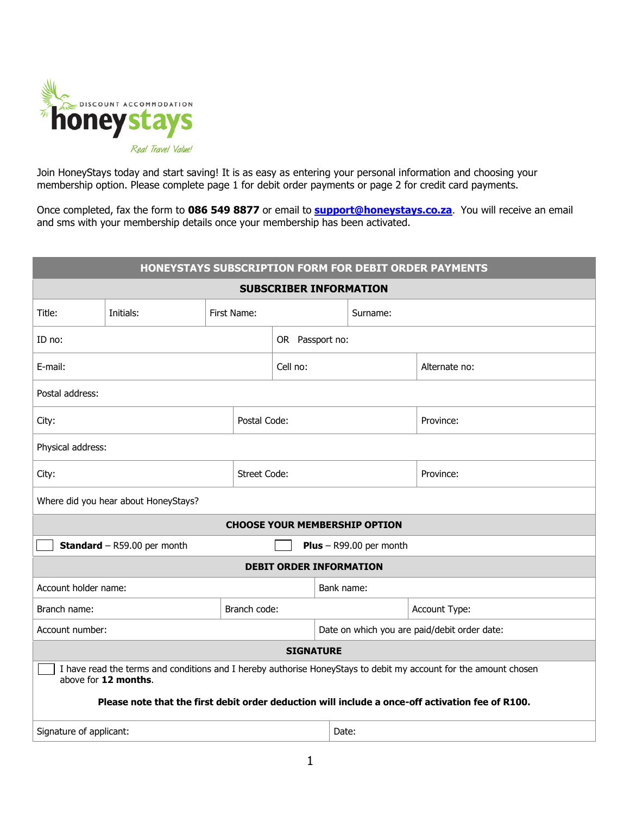

Join HoneyStays today and start saving! It is as easy as entering your personal information and choosing your membership option. Please complete page 1 for debit order payments or page 2 for credit card payments.

Once completed, fax the form to **086 549 8877** or email to **[support@honeystays.co.za](mailto:support@honeystays.co.za)**. You will receive an email and sms with your membership details once your membership has been activated.

| HONEYSTAYS SUBSCRIPTION FORM FOR DEBIT ORDER PAYMENTS                                                                                    |              |             |  |                 |                                              |  |  |               |  |  |  |
|------------------------------------------------------------------------------------------------------------------------------------------|--------------|-------------|--|-----------------|----------------------------------------------|--|--|---------------|--|--|--|
| <b>SUBSCRIBER INFORMATION</b>                                                                                                            |              |             |  |                 |                                              |  |  |               |  |  |  |
| Title:                                                                                                                                   | Initials:    | First Name: |  |                 | Surname:                                     |  |  |               |  |  |  |
| ID no:                                                                                                                                   |              |             |  | OR Passport no: |                                              |  |  |               |  |  |  |
| E-mail:                                                                                                                                  |              |             |  | Cell no:        |                                              |  |  | Alternate no: |  |  |  |
| Postal address:                                                                                                                          |              |             |  |                 |                                              |  |  |               |  |  |  |
| Postal Code:<br>City:                                                                                                                    |              |             |  |                 |                                              |  |  | Province:     |  |  |  |
| Physical address:                                                                                                                        |              |             |  |                 |                                              |  |  |               |  |  |  |
| <b>Street Code:</b><br>City:                                                                                                             |              |             |  |                 |                                              |  |  | Province:     |  |  |  |
| Where did you hear about HoneyStays?                                                                                                     |              |             |  |                 |                                              |  |  |               |  |  |  |
| <b>CHOOSE YOUR MEMBERSHIP OPTION</b>                                                                                                     |              |             |  |                 |                                              |  |  |               |  |  |  |
| <b>Standard</b> - R59.00 per month<br><b>Plus</b> – R99.00 per month                                                                     |              |             |  |                 |                                              |  |  |               |  |  |  |
| <b>DEBIT ORDER INFORMATION</b>                                                                                                           |              |             |  |                 |                                              |  |  |               |  |  |  |
| Account holder name:                                                                                                                     |              |             |  | Bank name:      |                                              |  |  |               |  |  |  |
| Branch name:                                                                                                                             | Branch code: |             |  |                 |                                              |  |  | Account Type: |  |  |  |
| Account number:                                                                                                                          |              |             |  |                 | Date on which you are paid/debit order date: |  |  |               |  |  |  |
| <b>SIGNATURE</b>                                                                                                                         |              |             |  |                 |                                              |  |  |               |  |  |  |
| I have read the terms and conditions and I hereby authorise HoneyStays to debit my account for the amount chosen<br>above for 12 months. |              |             |  |                 |                                              |  |  |               |  |  |  |
| Please note that the first debit order deduction will include a once-off activation fee of R100.                                         |              |             |  |                 |                                              |  |  |               |  |  |  |
| Signature of applicant:                                                                                                                  |              |             |  |                 | Date:                                        |  |  |               |  |  |  |